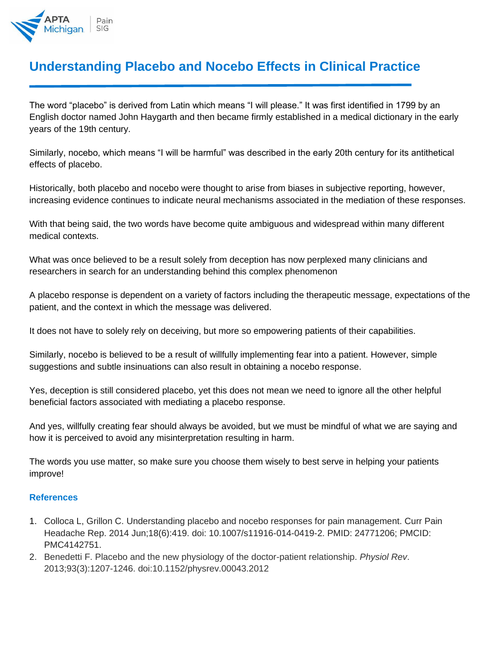

## **Understanding Placebo and Nocebo Effects in Clinical Practice**

The word "placebo" is derived from Latin which means "I will please." It was first identified in 1799 by an English doctor named John Haygarth and then became firmly established in a medical dictionary in the early years of the 19th century.

Similarly, nocebo, which means "I will be harmful" was described in the early 20th century for its antithetical effects of placebo.

Historically, both placebo and nocebo were thought to arise from biases in subjective reporting, however, increasing evidence continues to indicate neural mechanisms associated in the mediation of these responses.

With that being said, the two words have become quite ambiguous and widespread within many different medical contexts.

What was once believed to be a result solely from deception has now perplexed many clinicians and researchers in search for an understanding behind this complex phenomenon

A placebo response is dependent on a variety of factors including the therapeutic message, expectations of the patient, and the context in which the message was delivered.

It does not have to solely rely on deceiving, but more so empowering patients of their capabilities.

Similarly, nocebo is believed to be a result of willfully implementing fear into a patient. However, simple suggestions and subtle insinuations can also result in obtaining a nocebo response.

Yes, deception is still considered placebo, yet this does not mean we need to ignore all the other helpful beneficial factors associated with mediating a placebo response.

And yes, willfully creating fear should always be avoided, but we must be mindful of what we are saying and how it is perceived to avoid any misinterpretation resulting in harm.

The words you use matter, so make sure you choose them wisely to best serve in helping your patients improve!

## **References**

- 1. Colloca L, Grillon C. Understanding placebo and nocebo responses for pain management. Curr Pain Headache Rep. 2014 Jun;18(6):419. doi: 10.1007/s11916-014-0419-2. PMID: 24771206; PMCID: PMC4142751.
- 2. Benedetti F. Placebo and the new physiology of the doctor-patient relationship. *Physiol Rev*. 2013;93(3):1207-1246. doi:10.1152/physrev.00043.2012